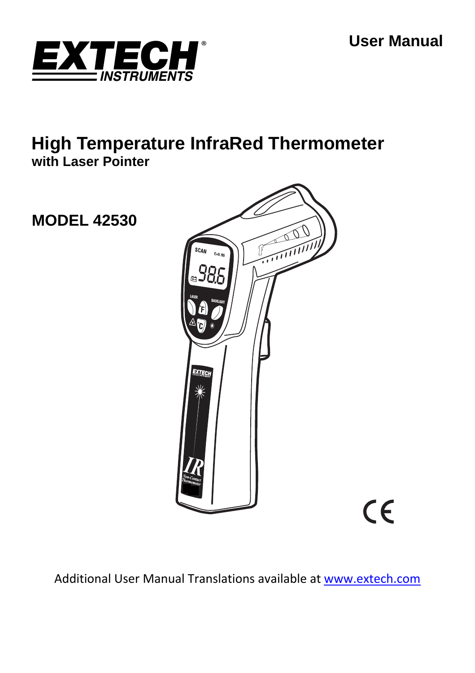**User Manual** 

 $C\epsilon$ 



# **High Temperature InfraRed Thermometer with Laser Pointer**

**MODEL 42530** 



Additional User Manual Translations available at www.extech.com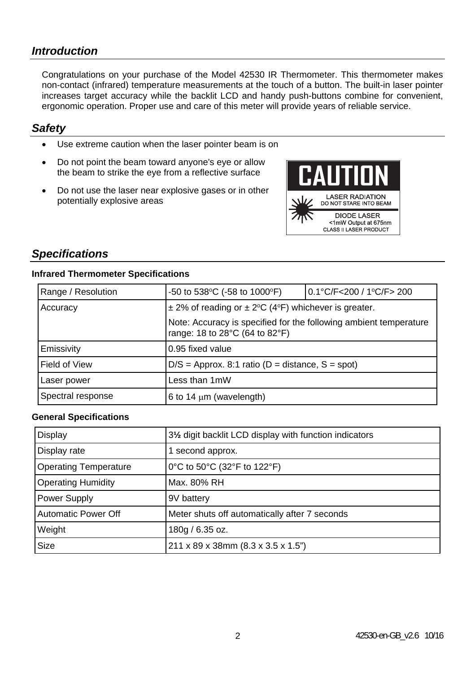## *Introduction*

Congratulations on your purchase of the Model 42530 IR Thermometer. This thermometer makes non-contact (infrared) temperature measurements at the touch of a button. The built-in laser pointer increases target accuracy while the backlit LCD and handy push-buttons combine for convenient, ergonomic operation. Proper use and care of this meter will provide years of reliable service.

### *Safety*

- Use extreme caution when the laser pointer beam is on
- Do not point the beam toward anyone's eye or allow the beam to strike the eye from a reflective surface
- Do not use the laser near explosive gases or in other potentially explosive areas



## *Specifications*

#### **Infrared Thermometer Specifications**

| Range / Resolution | $-50$ to 538 °C ( $-58$ to 1000 °F)                                                                                                                                 | 0.1°C/F<200 / 1°C/F> 200 |
|--------------------|---------------------------------------------------------------------------------------------------------------------------------------------------------------------|--------------------------|
| Accuracy           | $\pm$ 2% of reading or $\pm$ 2°C (4°F) whichever is greater.<br>Note: Accuracy is specified for the following ambient temperature<br>range: 18 to 28°C (64 to 82°F) |                          |
|                    |                                                                                                                                                                     |                          |
| Emissivity         | 0.95 fixed value                                                                                                                                                    |                          |
| Field of View      | $D/S =$ Approx. 8:1 ratio (D = distance, S = spot)                                                                                                                  |                          |
| Laser power        | Less than 1mW                                                                                                                                                       |                          |
| Spectral response  | 6 to 14 $\mu$ m (wavelength)                                                                                                                                        |                          |

#### **General Specifications**

| Display                      | 31/2 digit backlit LCD display with function indicators |  |
|------------------------------|---------------------------------------------------------|--|
| Display rate                 | 1 second approx.                                        |  |
| <b>Operating Temperature</b> | 0°C to 50°C (32°F to 122°F)                             |  |
| <b>Operating Humidity</b>    | Max. 80% RH                                             |  |
| Power Supply                 | 9V battery                                              |  |
| <b>Automatic Power Off</b>   | Meter shuts off automatically after 7 seconds           |  |
| Weight                       | 180g / 6.35 oz.                                         |  |
| Size                         | 211 x 89 x 38mm (8.3 x 3.5 x 1.5")                      |  |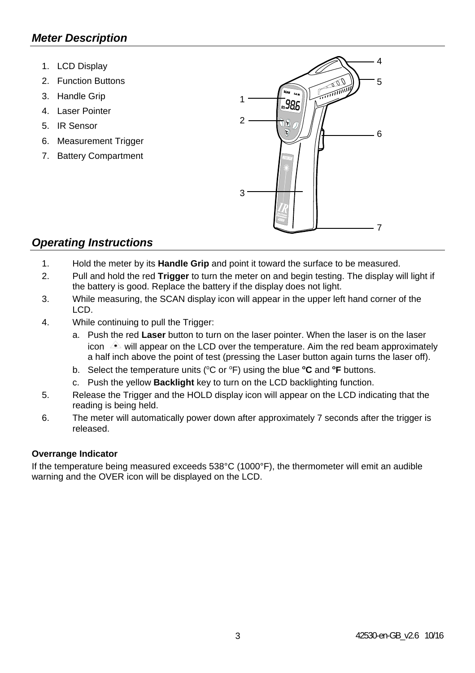# *Meter Description*

- 1. LCD Display
- 2. Function Buttons
- 3. Handle Grip
- 4. Laser Pointer
- 5. IR Sensor
- 6. Measurement Trigger
- 7. Battery Compartment



### *Operating Instructions*

- 1. Hold the meter by its **Handle Grip** and point it toward the surface to be measured.
- 2. Pull and hold the red **Trigger** to turn the meter on and begin testing. The display will light if the battery is good. Replace the battery if the display does not light.
- 3. While measuring, the SCAN display icon will appear in the upper left hand corner of the LCD.
- 4. While continuing to pull the Trigger:
	- a. Push the red **Laser** button to turn on the laser pointer. When the laser is on the laser icon  $\rightarrow$  will appear on the LCD over the temperature. Aim the red beam approximately a half inch above the point of test (pressing the Laser button again turns the laser off).
	- b. Select the temperature units (°C or °F) using the blue **°C** and **°F** buttons.
	- c. Push the yellow **Backlight** key to turn on the LCD backlighting function.
- 5. Release the Trigger and the HOLD display icon will appear on the LCD indicating that the reading is being held.
- 6. The meter will automatically power down after approximately 7 seconds after the trigger is released.

#### **Overrange Indicator**

If the temperature being measured exceeds 538°C (1000°F), the thermometer will emit an audible warning and the OVER icon will be displayed on the LCD.